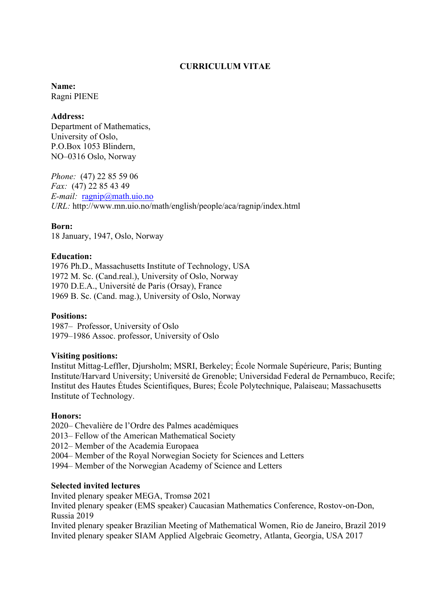## **CURRICULUM VITAE**

#### **Name:**  Ragni PIENE

### **Address:**

Department of Mathematics, University of Oslo, P.O.Box 1053 Blindern, NO–0316 Oslo, Norway

*Phone:* (47) 22 85 59 06 *Fax:* (47) 22 85 43 49 *E-mail:* ragnip@math.uio.no *URL:* http://www.mn.uio.no/math/english/people/aca/ragnip/index.html

## **Born:**

18 January, 1947, Oslo, Norway

## **Education:**

1976 Ph.D., Massachusetts Institute of Technology, USA 1972 M. Sc. (Cand.real.), University of Oslo, Norway 1970 D.E.A., Université de Paris (Orsay), France 1969 B. Sc. (Cand. mag.), University of Oslo, Norway

### **Positions:**

1987– Professor, University of Oslo 1979–1986 Assoc. professor, University of Oslo

### **Visiting positions:**

Institut Mittag-Leffler, Djursholm; MSRI, Berkeley; École Normale Supérieure, Paris; Bunting Institute/Harvard University; Université de Grenoble; Universidad Federal de Pernambuco, Recife; Institut des Hautes Études Scientifiques, Bures; École Polytechnique, Palaiseau; Massachusetts Institute of Technology.

### **Honors:**

2020– Chevalière de l'Ordre des Palmes académiques

2013– Fellow of the American Mathematical Society

2012– Member of the Academia Europaea

2004– Member of the Royal Norwegian Society for Sciences and Letters

1994– Member of the Norwegian Academy of Science and Letters

### **Selected invited lectures**

Invited plenary speaker MEGA, Tromsø 2021 Invited plenary speaker (EMS speaker) Caucasian Mathematics Conference, Rostov-on-Don, Russia 2019 Invited plenary speaker Brazilian Meeting of Mathematical Women, Rio de Janeiro, Brazil 2019

Invited plenary speaker SIAM Applied Algebraic Geometry, Atlanta, Georgia, USA 2017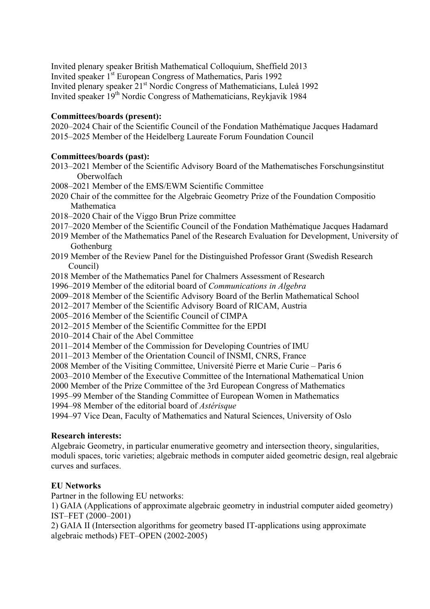Invited plenary speaker British Mathematical Colloquium, Sheffield 2013 Invited speaker 1<sup>st</sup> European Congress of Mathematics, Paris 1992 Invited plenary speaker 21st Nordic Congress of Mathematicians, Luleå 1992 Invited speaker 19<sup>th</sup> Nordic Congress of Mathematicians, Reykjavik 1984

# **Committees/boards (present):**

2020–2024 Chair of the Scientific Council of the Fondation Mathématique Jacques Hadamard 2015–2025 Member of the Heidelberg Laureate Forum Foundation Council

## **Committees/boards (past):**

- 2013–2021 Member of the Scientific Advisory Board of the Mathematisches Forschungsinstitut Oberwolfach
- 2008–2021 Member of the EMS/EWM Scientific Committee
- 2020 Chair of the committee for the Algebraic Geometry Prize of the Foundation Compositio Mathematica
- 2018–2020 Chair of the Viggo Brun Prize committee
- 2017–2020 Member of the Scientific Council of the Fondation Mathématique Jacques Hadamard
- 2019 Member of the Mathematics Panel of the Research Evaluation for Development, University of **Gothenburg**
- 2019 Member of the Review Panel for the Distinguished Professor Grant (Swedish Research Council)
- 2018 Member of the Mathematics Panel for Chalmers Assessment of Research
- 1996–2019 Member of the editorial board of *Communications in Algebra*
- 2009–2018 Member of the Scientific Advisory Board of the Berlin Mathematical School
- 2012–2017 Member of the Scientific Advisory Board of RICAM, Austria
- 2005–2016 Member of the Scientific Council of CIMPA
- 2012–2015 Member of the Scientific Committee for the EPDI
- 2010–2014 Chair of the Abel Committee
- 2011–2014 Member of the Commission for Developing Countries of IMU
- 2011–2013 Member of the Orientation Council of INSMI, CNRS, France
- 2008 Member of the Visiting Committee, Université Pierre et Marie Curie Paris 6
- 2003–2010 Member of the Executive Committee of the International Mathematical Union

2000 Member of the Prize Committee of the 3rd European Congress of Mathematics

- 1995–99 Member of the Standing Committee of European Women in Mathematics
- 1994–98 Member of the editorial board of *Astérisque*

1994–97 Vice Dean, Faculty of Mathematics and Natural Sciences, University of Oslo

### **Research interests:**

Algebraic Geometry, in particular enumerative geometry and intersection theory, singularities, moduli spaces, toric varieties; algebraic methods in computer aided geometric design, real algebraic curves and surfaces.

# **EU Networks**

Partner in the following EU networks:

1) GAIA (Applications of approximate algebraic geometry in industrial computer aided geometry) IST–FET (2000–2001)

2) GAIA II (Intersection algorithms for geometry based IT-applications using approximate algebraic methods) FET–OPEN (2002-2005)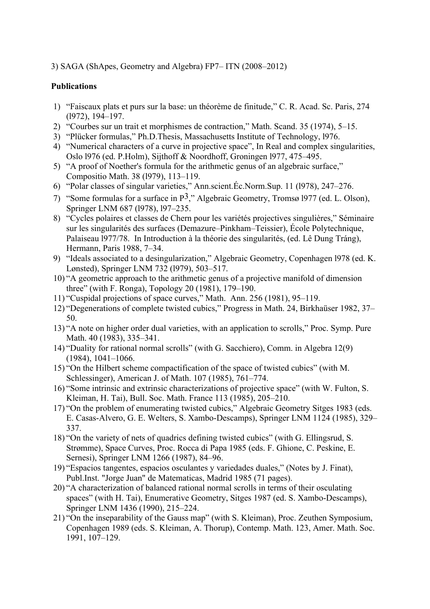# 3) SAGA (ShApes, Geometry and Algebra) FP7– ITN (2008–2012)

# **Publications**

- 1) "Faiscaux plats et purs sur la base: un théorème de finitude," C. R. Acad. Sc. Paris, 274 (l972), 194–197.
- 2) "Courbes sur un trait et morphismes de contraction," Math. Scand. 35 (1974), 5–15.
- 3) "Plücker formulas," Ph.D.Thesis, Massachusetts Institute of Technology, l976.
- 4) "Numerical characters of a curve in projective space", In Real and complex singularities, Oslo l976 (ed. P.Holm), Sijthoff & Noordhoff, Groningen l977, 475–495.
- 5) "A proof of Noether's formula for the arithmetic genus of an algebraic surface," Compositio Math. 38 (l979), 113–119.
- 6) "Polar classes of singular varieties," Ann.scient.Éc.Norm.Sup. 11 (l978), 247–276.
- 7) "Some formulas for a surface in P3," Algebraic Geometry, Tromsø l977 (ed. L. Olson), Springer LNM 687 (1978), 197–235.
- 8) "Cycles polaires et classes de Chern pour les variétés projectives singulières," Séminaire sur les singularités des surfaces (Demazure–Pinkham–Teissier), École Polytechnique, Palaiseau l977/78. In Introduction à la théorie des singularités, (ed. Lê Dung Tráng), Hermann, Paris 1988, 7–34.
- 9) "Ideals associated to a desingularization," Algebraic Geometry, Copenhagen l978 (ed. K. Lønsted), Springer LNM 732 (l979), 503–517.
- 10) "A geometric approach to the arithmetic genus of a projective manifold of dimension three" (with F. Ronga), Topology 20 (1981), 179–190.
- 11) "Cuspidal projections of space curves," Math. Ann. 256 (1981), 95–119.
- 12) "Degenerations of complete twisted cubics," Progress in Math. 24, Birkhaüser 1982, 37– 50.
- 13) "A note on higher order dual varieties, with an application to scrolls," Proc. Symp. Pure Math. 40 (1983), 335–341.
- 14) "Duality for rational normal scrolls" (with G. Sacchiero), Comm. in Algebra 12(9) (1984), 1041–1066.
- 15) "On the Hilbert scheme compactification of the space of twisted cubics" (with M. Schlessinger), American J. of Math. 107 (1985), 761–774.
- 16) "Some intrinsic and extrinsic characterizations of projective space" (with W. Fulton, S. Kleiman, H. Tai), Bull. Soc. Math. France 113 (1985), 205–210.
- 17) "On the problem of enumerating twisted cubics," Algebraic Geometry Sitges 1983 (eds. E. Casas-Alvero, G. E. Welters, S. Xambo-Descamps), Springer LNM 1124 (1985), 329– 337.
- 18) "On the variety of nets of quadrics defining twisted cubics" (with G. Ellingsrud, S. Strømme), Space Curves, Proc. Rocca di Papa 1985 (eds. F. Ghione, C. Peskine, E. Sernesi), Springer LNM 1266 (1987), 84–96.
- 19) "Espacios tangentes, espacios osculantes y variedades duales," (Notes by J. Finat), Publ.Inst. "Jorge Juan" de Matematicas, Madrid 1985 (71 pages).
- 20) "A characterization of balanced rational normal scrolls in terms of their osculating spaces" (with H. Tai), Enumerative Geometry, Sitges 1987 (ed. S. Xambo-Descamps), Springer LNM 1436 (1990), 215–224.
- 21) "On the inseparability of the Gauss map" (with S. Kleiman), Proc. Zeuthen Symposium, Copenhagen 1989 (eds. S. Kleiman, A. Thorup), Contemp. Math. 123, Amer. Math. Soc. 1991, 107–129.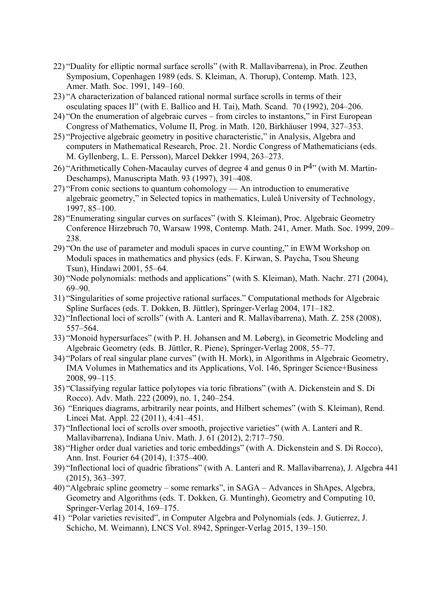- 22) "Duality for elliptic normal surface scrolls" (with R. Mallavibarrena), in Proc. Zeuthen Symposium, Copenhagen 1989 (eds. S. Kleiman, A. Thorup), Contemp. Math. 123, Amer. Math. Soc. 1991, 149–160.
- 23) "A characterization of balanced rational normal surface scrolls in terms of their osculating spaces II" (with E. Ballico and H. Tai), Math. Scand. 70 (1992), 204–206.
- 24) "On the enumeration of algebraic curves from circles to instantons," in First European Congress of Mathematics, Volume II, Prog. in Math. 120, Birkhäuser 1994, 327–353.
- 25) "Projective algebraic geometry in positive characteristic," in Analysis, Algebra and computers in Mathematical Research, Proc. 21. Nordic Congress of Mathematicians (eds. M. Gyllenberg, L. E. Persson), Marcel Dekker 1994, 263–273.
- 26) "Arithmetically Cohen-Macaulay curves of degree 4 and genus 0 in  $P^{4}$ " (with M. Martin-Deschamps), Manuscripta Math. 93 (1997), 391–408.
- 27) "From conic sections to quantum cohomology An introduction to enumerative algebraic geometry," in Selected topics in mathematics, Luleå University of Technology, 1997, 85–100.
- 28) "Enumerating singular curves on surfaces" (with S. Kleiman), Proc. Algebraic Geometry Conference Hirzebruch 70, Warsaw 1998, Contemp. Math. 241, Amer. Math. Soc. 1999, 209– 238.
- 29) "On the use of parameter and moduli spaces in curve counting," in EWM Workshop on Moduli spaces in mathematics and physics (eds. F. Kirwan, S. Paycha, Tsou Sheung Tsun), Hindawi 2001, 55–64.
- 30) "Node polynomials: methods and applications" (with S. Kleiman), Math. Nachr. 271 (2004), 69–90.
- 31) "Singularities of some projective rational surfaces." Computational methods for Algebraic Spline Surfaces (eds. T. Dokken, B. Jüttler), Springer-Verlag 2004, 171–182.
- 32) "Inflectional loci of scrolls" (with A. Lanteri and R. Mallavibarrena), Math. Z. 258 (2008), 557–564.
- 33) "Monoid hypersurfaces" (with P. H. Johansen and M. Løberg), in Geometric Modeling and Algebraic Geometry (eds. B. Jüttler, R. Piene), Springer-Verlag 2008, 55–77.
- 34) "Polars of real singular plane curves" (with H. Mork), in Algorithms in Algebraic Geometry, IMA Volumes in Mathematics and its Applications, Vol. 146, Springer Science+Business 2008, 99–115.
- 35) "Classifying regular lattice polytopes via toric fibrations" (with A. Dickenstein and S. Di Rocco). Adv. Math. 222 (2009), no. 1, 240–254.
- 36) "Enriques diagrams, arbitrarily near points, and Hilbert schemes" (with S. Kleiman), Rend. Lincei Mat. Appl. 22 (2011), 4:41–451.
- 37) "Inflectional loci of scrolls over smooth, projective varieties" (with A. Lanteri and R. Mallavibarrena), Indiana Univ. Math. J. 61 (2012), 2:717–750.
- 38) "Higher order dual varieties and toric embeddings" (with A. Dickenstein and S. Di Rocco), Ann. Inst. Fourier 64 (2014), 1:375–400.
- 39) "Inflectional loci of quadric fibrations" (with A. Lanteri and R. Mallavibarrena), J. Algebra 441 (2015), 363–397.
- 40) "Algebraic spline geometry some remarks", in SAGA Advances in ShApes, Algebra, Geometry and Algorithms (eds. T. Dokken, G. Muntingh), Geometry and Computing 10, Springer-Verlag 2014, 169–175.
- 41) "Polar varieties revisited", in Computer Algebra and Polynomials (eds. J. Gutierrez, J. Schicho, M. Weimann), LNCS Vol. 8942, Springer-Verlag 2015, 139–150.